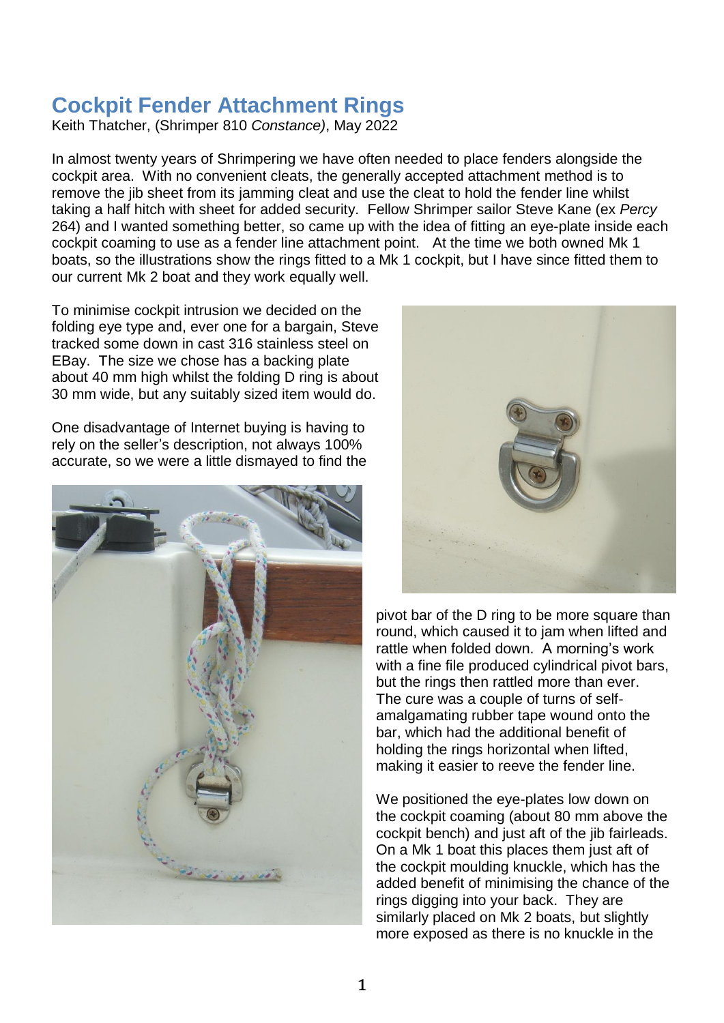## **Cockpit Fender Attachment Rings**

Keith Thatcher, (Shrimper 810 *Constance)*, May 2022

In almost twenty years of Shrimpering we have often needed to place fenders alongside the cockpit area. With no convenient cleats, the generally accepted attachment method is to remove the jib sheet from its jamming cleat and use the cleat to hold the fender line whilst taking a half hitch with sheet for added security. Fellow Shrimper sailor Steve Kane (ex *Percy* 264) and I wanted something better, so came up with the idea of fitting an eye-plate inside each cockpit coaming to use as a fender line attachment point. At the time we both owned Mk 1 boats, so the illustrations show the rings fitted to a Mk 1 cockpit, but I have since fitted them to our current Mk 2 boat and they work equally well.

To minimise cockpit intrusion we decided on the folding eye type and, ever one for a bargain, Steve tracked some down in cast 316 stainless steel on EBay. The size we chose has a backing plate about 40 mm high whilst the folding D ring is about 30 mm wide, but any suitably sized item would do.

One disadvantage of Internet buying is having to rely on the seller's description, not always 100% accurate, so we were a little dismayed to find the





pivot bar of the D ring to be more square than round, which caused it to jam when lifted and rattle when folded down. A morning's work with a fine file produced cylindrical pivot bars, but the rings then rattled more than ever. The cure was a couple of turns of selfamalgamating rubber tape wound onto the bar, which had the additional benefit of holding the rings horizontal when lifted, making it easier to reeve the fender line.

We positioned the eye-plates low down on the cockpit coaming (about 80 mm above the cockpit bench) and just aft of the jib fairleads. On a Mk 1 boat this places them just aft of the cockpit moulding knuckle, which has the added benefit of minimising the chance of the rings digging into your back. They are similarly placed on Mk 2 boats, but slightly more exposed as there is no knuckle in the